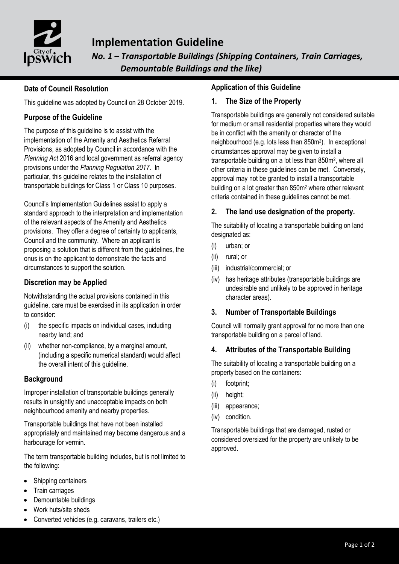

# **Implementation Guideline**

*No. 1 – Transportable Buildings (Shipping Containers, Train Carriages, Demountable Buildings and the like)*

# **Date of Council Resolution**

This guideline was adopted by Council on 28 October 2019.

# **Purpose of the Guideline**

The purpose of this guideline is to assist with the implementation of the Amenity and Aesthetics Referral Provisions, as adopted by Council in accordance with the *Planning Act* 2016 and local government as referral agency provisions under the *Planning Regulation 2017*. In particular, this guideline relates to the installation of transportable buildings for Class 1 or Class 10 purposes.

Council's Implementation Guidelines assist to apply a standard approach to the interpretation and implementation of the relevant aspects of the Amenity and Aesthetics provisions. They offer a degree of certainty to applicants, Council and the community. Where an applicant is proposing a solution that is different from the guidelines, the onus is on the applicant to demonstrate the facts and circumstances to support the solution.

# **Discretion may be Applied**

Notwithstanding the actual provisions contained in this guideline, care must be exercised in its application in order to consider:

- (i) the specific impacts on individual cases, including nearby land; and
- (ii) whether non-compliance, by a marginal amount, (including a specific numerical standard) would affect the overall intent of this guideline.

# **Background**

Improper installation of transportable buildings generally results in unsightly and unacceptable impacts on both neighbourhood amenity and nearby properties.

Transportable buildings that have not been installed appropriately and maintained may become dangerous and a harbourage for vermin.

The term transportable building includes, but is not limited to the following:

- Shipping containers
- Train carriages
- Demountable buildings
- Work huts/site sheds
- Converted vehicles (e.g. caravans, trailers etc.)

## **Application of this Guideline**

#### **1. The Size of the Property**

Transportable buildings are generally not considered suitable for medium or small residential properties where they would be in conflict with the amenity or character of the neighbourhood (e.g. lots less than 850m<sup>2</sup> ). In exceptional circumstances approval may be given to install a transportable building on a lot less than 850m<sup>2</sup>, where all other criteria in these guidelines can be met. Conversely, approval may not be granted to install a transportable building on a lot greater than 850m<sup>2</sup> where other relevant criteria contained in these guidelines cannot be met.

# **2. The land use designation of the property.**

The suitability of locating a transportable building on land designated as:

- (i) urban; or
- (ii) rural; or
- (iii) industrial/commercial; or
- (iv) has heritage attributes (transportable buildings are undesirable and unlikely to be approved in heritage character areas).

## **3. Number of Transportable Buildings**

Council will normally grant approval for no more than one transportable building on a parcel of land.

## **4. Attributes of the Transportable Building**

The suitability of locating a transportable building on a property based on the containers:

- (i) footprint;
- (ii) height;
- (iii) appearance;
- (iv) condition.

Transportable buildings that are damaged, rusted or considered oversized for the property are unlikely to be approved.